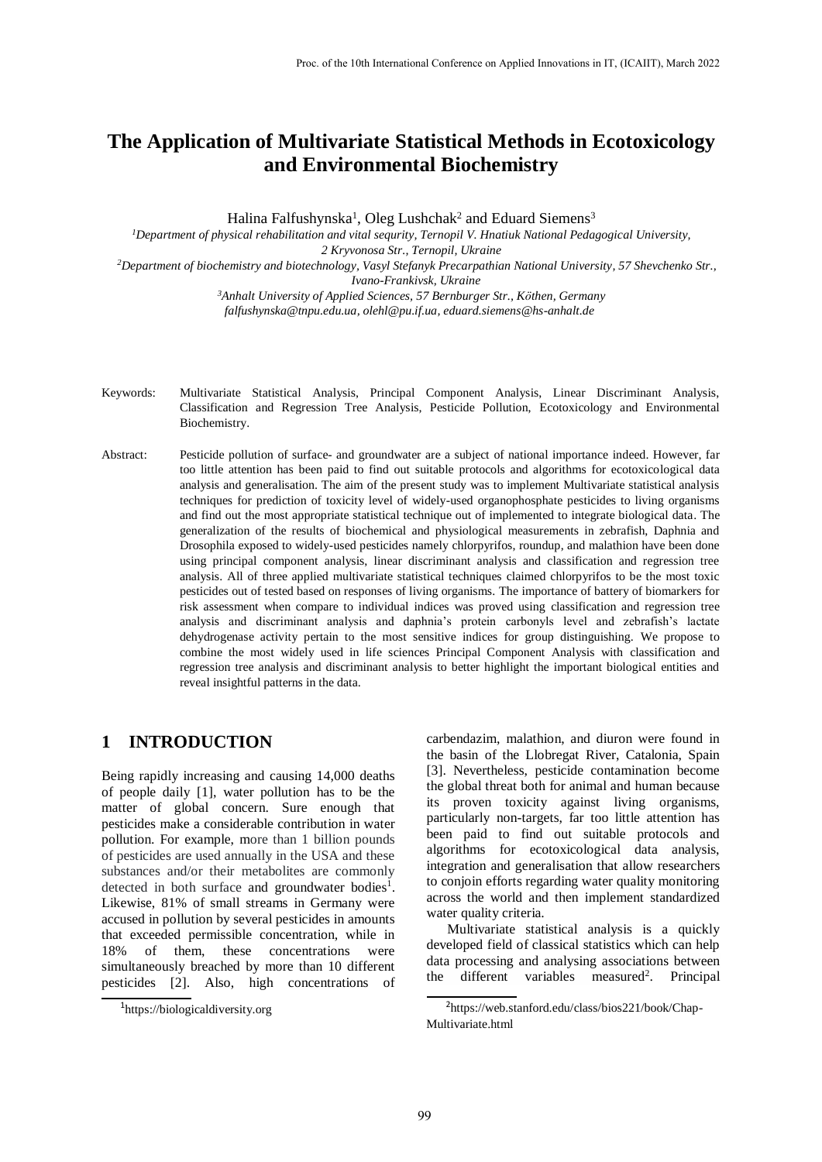# **The Application of Multivariate Statistical Methods in Ecotoxicology and Environmental Biochemistry**

Halina Falfushynska<sup>1</sup>, Oleg Lushchak<sup>2</sup> and Eduard Siemens<sup>3</sup>

*<sup>1</sup>Department of physical rehabilitation and vital sequrity, Ternopil V. Hnatiuk National Pedagogical University,* 

*2 Kryvonosa Str., Ternopil, Ukraine*

*<sup>2</sup>Department of biochemistry and biotechnology, Vasyl Stefanyk Precarpathian National University, 57 Shevchenko Str., Ivano-Frankivsk, Ukraine*

> *<sup>3</sup>Anhalt University of Applied Sciences, 57 Bernburger Str., Köthen, Germany falfushynska@tnpu.edu.ua, olehl@pu.if.ua, eduard.siemens@hs-anhalt.de*

- Keywords: Multivariate Statistical Analysis, Principal Component Analysis, Linear Discriminant Analysis, Classification and Regression Tree Analysis, Pesticide Pollution, Ecotoxicology and Environmental Biochemistry.
- Abstract: Pesticide pollution of surface- and groundwater are a subject of national importance indeed. However, far too little attention has been paid to find out suitable protocols and algorithms for ecotoxicological data analysis and generalisation. The aim of the present study was to implement Multivariate statistical analysis techniques for prediction of toxicity level of widely-used organophosphate pesticides to living organisms and find out the most appropriate statistical technique out of implemented to integrate biological data. The generalization of the results of biochemical and physiological measurements in zebrafish, Daphnia and Drosophila exposed to widely-used pesticides namely chlorpyrifos, roundup, and malathion have been done using principal component analysis, linear discriminant analysis and classification and regression tree analysis. All of three applied multivariate statistical techniques claimed chlorpyrifos to be the most toxic pesticides out of tested based on responses of living organisms. The importance of battery of biomarkers for risk assessment when compare to individual indices was proved using classification and regression tree analysis and discriminant analysis and daphnia's protein carbonyls level and zebrafish's lactate dehydrogenase activity pertain to the most sensitive indices for group distinguishing. We propose to combine the most widely used in life sciences Principal Component Analysis with classification and regression tree analysis and discriminant analysis to better highlight the important biological entities and reveal insightful patterns in the data.

# **1 INTRODUCTION**

Being rapidly increasing and causing 14,000 deaths of people daily [1], water pollution has to be the matter of global concern. Sure enough that pesticides make a considerable contribution in water pollution. For example, more than 1 billion pounds of pesticides are used annually in the USA and these substances and/or their metabolites are commonly detected in both surface and groundwater bodies<sup>1</sup>. Likewise, 81% of small streams in Germany were accused in pollution by several pesticides in amounts that exceeded permissible concentration, while in 18% of them, these concentrations were simultaneously breached by more than 10 different pesticides [2]. Also, high concentrations of carbendazim, malathion, and diuron were found in the basin of the Llobregat River, Catalonia, Spain [3]. Nevertheless, pesticide contamination become the global threat both for animal and human because its proven toxicity against living organisms, particularly non-targets, far too little attention has been paid to find out suitable protocols and algorithms for ecotoxicological data analysis, integration and generalisation that allow researchers to conjoin efforts regarding water quality monitoring across the world and then implement standardized water quality criteria.

Multivariate statistical analysis is a quickly developed field of classical statistics which can help data processing and analysing associations between the different variables measured<sup>2</sup>. Principal

<sup>1</sup> https://biologicaldiversity.org

<sup>2</sup> https://web.stanford.edu/class/bios221/book/Chap-Multivariate.html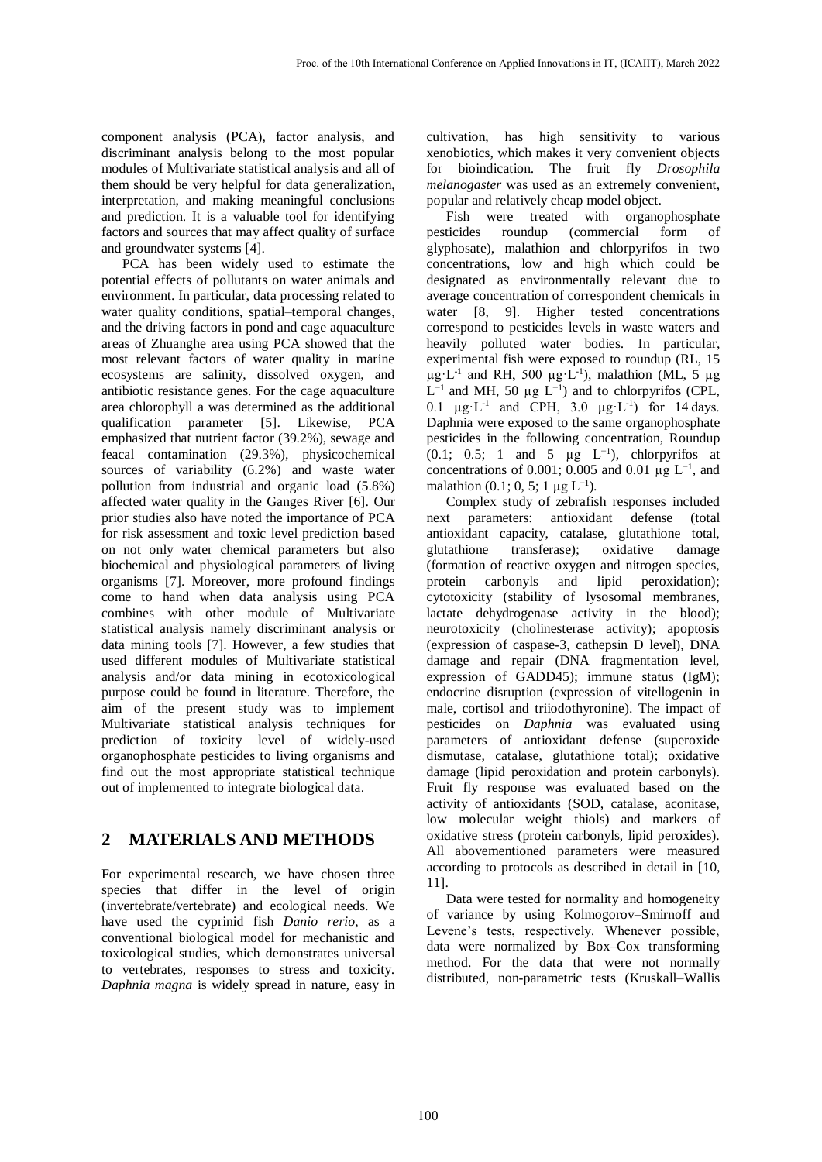component analysis (PCA), factor analysis, and discriminant analysis belong to the most popular modules of Multivariate statistical analysis and all of them should be very helpful for data generalization, interpretation, and making meaningful conclusions and prediction. It is a valuable tool for identifying factors and sources that may affect quality of surface and groundwater systems [4].

PCA has been widely used to estimate the potential effects of pollutants on water animals and environment. In particular, data processing related to water quality conditions, spatial–temporal changes, and the driving factors in pond and cage aquaculture areas of Zhuanghe area using PCA showed that the most relevant factors of water quality in marine ecosystems are salinity, dissolved oxygen, and antibiotic resistance genes. For the cage aquaculture area chlorophyll a was determined as the additional qualification parameter [5]. Likewise, PCA emphasized that nutrient factor (39.2%), sewage and feacal contamination (29.3%), physicochemical sources of variability (6.2%) and waste water pollution from industrial and organic load (5.8%) affected water quality in the Ganges River [6]. Our prior studies also have noted the importance of PCA for risk assessment and toxic level prediction based on not only water chemical parameters but also biochemical and physiological parameters of living organisms [7]. Moreover, more profound findings come to hand when data analysis using PCA combines with other module of Multivariate statistical analysis namely discriminant analysis or data mining tools [7]. However, a few studies that used different modules of Multivariate statistical analysis and/or data mining in ecotoxicological purpose could be found in literature. Therefore, the aim of the present study was to implement Multivariate statistical analysis techniques for prediction of toxicity level of widely-used organophosphate pesticides to living organisms and find out the most appropriate statistical technique out of implemented to integrate biological data.

# **2 MATERIALS AND METHODS**

For experimental research, we have chosen three species that differ in the level of origin (invertebrate/vertebrate) and ecological needs. We have used the cyprinid fish *Danio rerio*, as a conventional biological model for mechanistic and toxicological studies, which demonstrates universal to vertebrates, responses to stress and toxicity. *Daphnia magna* is widely spread in nature, easy in

cultivation, has high sensitivity to various xenobiotics, which makes it very convenient objects for bioindication. The fruit fly *Drosophila melanogaster* was used as an extremely convenient, popular and relatively cheap model object.

Fish were treated with organophosphate pesticides roundup (commercial form of glyphosate), malathion and chlorpyrifos in two concentrations, low and high which could be designated as environmentally relevant due to average concentration of correspondent chemicals in water [8, 9]. Higher tested concentrations correspond to pesticides levels in waste waters and heavily polluted water bodies. In particular, experimental fish were exposed to roundup (RL, 15  $\mu$ g·L<sup>-1</sup> and RH, 500  $\mu$ g·L<sup>-1</sup>), malathion (ML, 5  $\mu$ g  $L^{-1}$  and MH, 50 μg  $L^{-1}$ ) and to chlorpyrifos (CPL, 0.1  $\mu$ g·L<sup>-1</sup> and CPH, 3.0  $\mu$ g·L<sup>-1</sup>) for 14 days. Daphnia were exposed to the same organophosphate pesticides in the following concentration, Roundup (0.1; 0.5; 1 and 5  $\mu$ g L<sup>-1</sup>), chlorpyrifos at concentrations of 0.001; 0.005 and 0.01 μg  $L^{-1}$ , and malathion  $(0.1; 0, 5; 1 \mu g L^{-1})$ .

Complex study of zebrafish responses included next parameters: antioxidant defense (total antioxidant capacity, catalase, glutathione total, glutathione transferase); oxidative damage (formation of reactive oxygen and nitrogen species, protein carbonyls and lipid peroxidation); cytotoxicity (stability of lysosomal membranes, lactate dehydrogenase activity in the blood); neurotoxicity (cholinesterase activity); apoptosis (expression of caspase-3, cathepsin D level), DNA damage and repair (DNA fragmentation level, expression of GADD45); immune status (IgM); endocrine disruption (expression of vitellogenin in male, cortisol and triiodothyronine). The impact of pesticides on *Daphnia* was evaluated using parameters of antioxidant defense (superoxide dismutase, catalase, glutathione total); oxidative damage (lipid peroxidation and protein carbonyls). Fruit fly response was evaluated based on the activity of antioxidants (SOD, catalase, aconitase, low molecular weight thiols) and markers of oxidative stress (protein carbonyls, lipid peroxides). All abovementioned parameters were measured according to protocols as described in detail in [10, 11].

Data were tested for normality and homogeneity of variance by using Kolmogorov–Smirnoff and Levene's tests, respectively. Whenever possible, data were normalized by Box–Cox transforming method. For the data that were not normally distributed, non-parametric tests (Kruskall–Wallis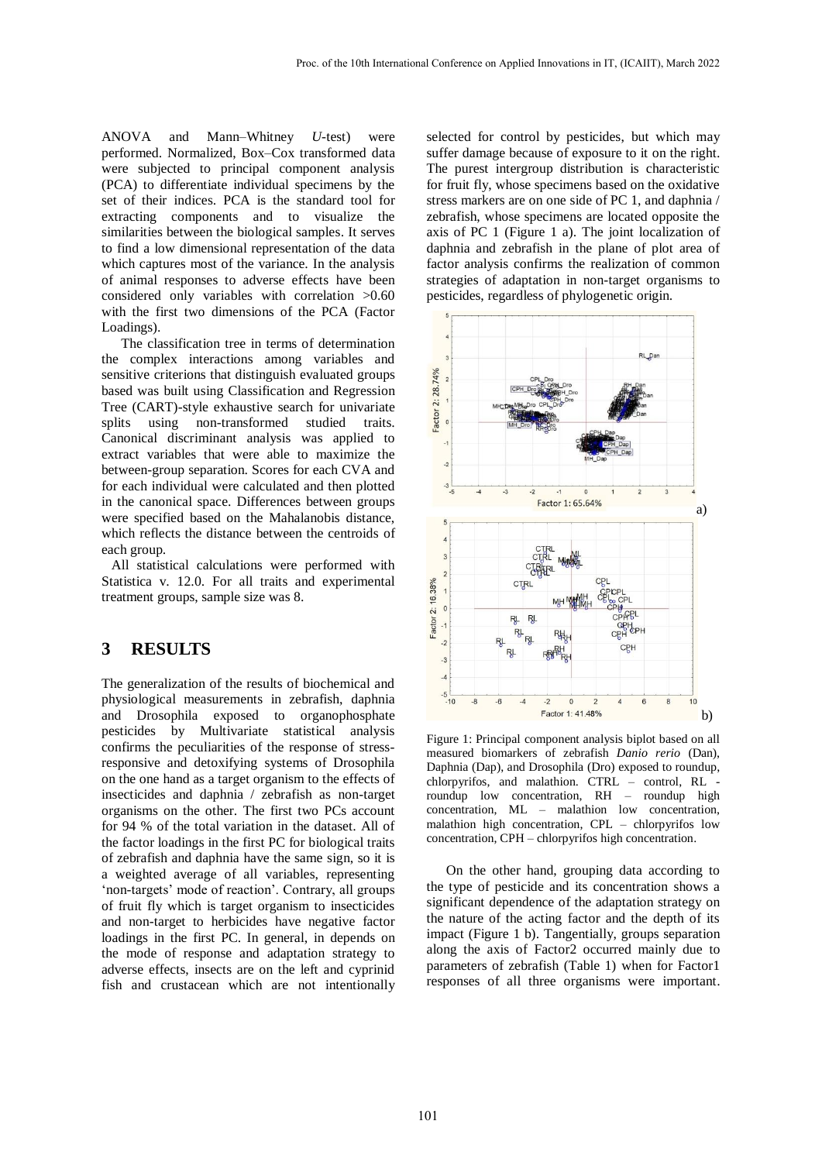ANOVA and Mann–Whitney *U*-test) were performed. Normalized, Box–Cox transformed data were subjected to principal component analysis (PCA) to differentiate individual specimens by the set of their indices. PCA is the standard tool for extracting components and to visualize the similarities between the biological samples. It serves to find a low dimensional representation of the data which captures most of the variance. In the analysis of animal responses to adverse effects have been considered only variables with correlation >0.60 with the first two dimensions of the PCA (Factor Loadings).

The classification tree in terms of determination the complex interactions among variables and sensitive criterions that distinguish evaluated groups based was built using Classification and Regression Tree (CART)-style exhaustive search for univariate splits using non-transformed studied traits. Canonical discriminant analysis was applied to extract variables that were able to maximize the between-group separation. Scores for each CVA and for each individual were calculated and then plotted in the canonical space. Differences between groups were specified based on the Mahalanobis distance, which reflects the distance between the centroids of each group.

All statistical calculations were performed with Statistica v. 12.0. For all traits and experimental treatment groups, sample size was 8.

#### **3 RESULTS**

The generalization of the results of biochemical and physiological measurements in zebrafish, daphnia and Drosophila exposed to organophosphate pesticides by Multivariate statistical analysis confirms the peculiarities of the response of stressresponsive and detoxifying systems of Drosophila on the one hand as a target organism to the effects of insecticides and daphnia / zebrafish as non-target organisms on the other. The first two PCs account for 94 % of the total variation in the dataset. All of the factor loadings in the first PC for biological traits of zebrafish and daphnia have the same sign, so it is a weighted average of all variables, representing 'non-targets' mode of reaction'. Contrary, all groups of fruit fly which is target organism to insecticides and non-target to herbicides have negative factor loadings in the first PC. In general, in depends on the mode of response and adaptation strategy to adverse effects, insects are on the left and cyprinid fish and crustacean which are not intentionally

selected for control by pesticides, but which may suffer damage because of exposure to it on the right. The purest intergroup distribution is characteristic for fruit fly, whose specimens based on the oxidative stress markers are on one side of PC 1, and daphnia / zebrafish, whose specimens are located opposite the axis of PC 1 (Figure 1 a). The joint localization of daphnia and zebrafish in the plane of plot area of factor analysis confirms the realization of common strategies of adaptation in non-target organisms to pesticides, regardless of phylogenetic origin.



Figure 1: Principal component analysis biplot based on all measured biomarkers of zebrafish *Danio rerio* (Dan), Daphnia (Dap), and Drosophila (Dro) exposed to roundup, chlorpyrifos, and malathion. CTRL – control, RL roundup low concentration, RH – roundup high concentration, ML – malathion low concentration, malathion high concentration, CPL – chlorpyrifos low concentration, CPH – chlorpyrifos high concentration.

On the other hand, grouping data according to the type of pesticide and its concentration shows a significant dependence of the adaptation strategy on the nature of the acting factor and the depth of its impact (Figure 1 b). Tangentially, groups separation along the axis of Factor2 occurred mainly due to parameters of zebrafish (Table 1) when for Factor1 responses of all three organisms were important.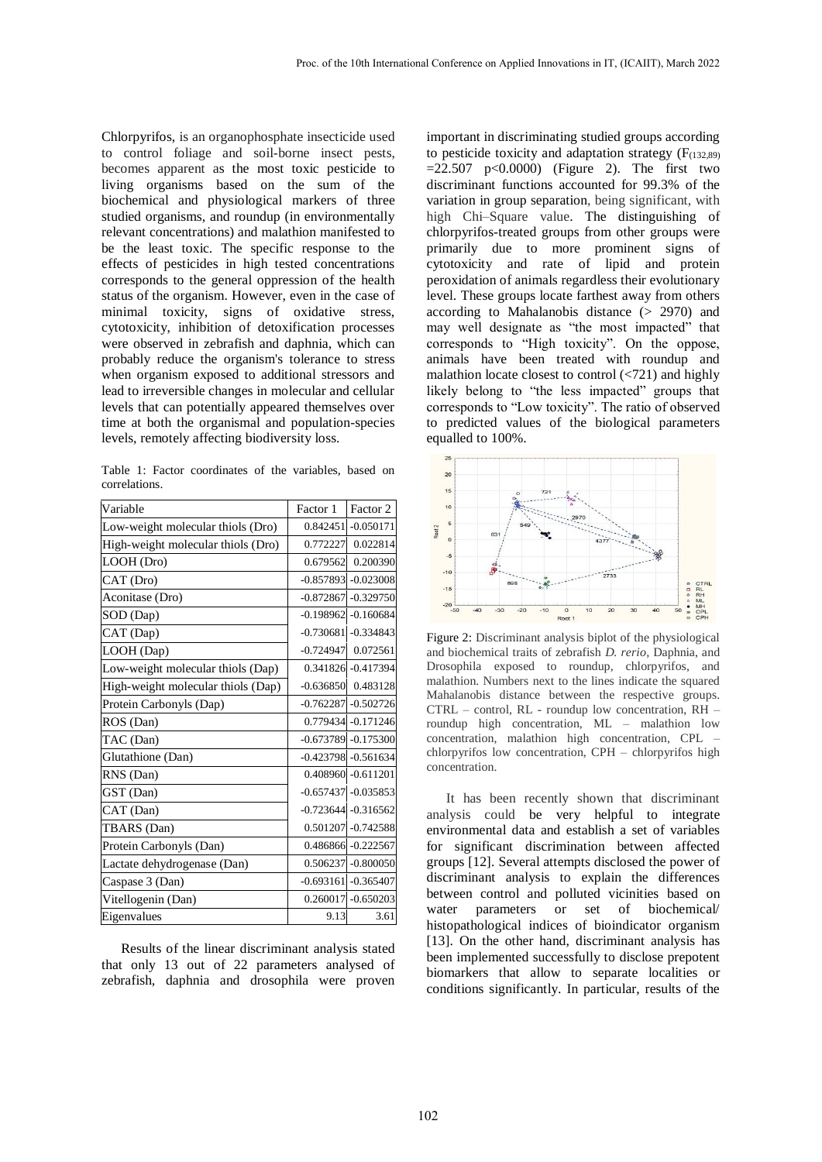Chlorpyrifos, is an organophosphate insecticide used to control foliage and soil-borne insect pests, becomes apparent as the most toxic pesticide to living organisms based on the sum of the biochemical and physiological markers of three studied organisms, and roundup (in environmentally relevant concentrations) and malathion manifested to be the least toxic. The specific response to the effects of pesticides in high tested concentrations corresponds to the general oppression of the health status of the organism. However, even in the case of minimal toxicity, signs of oxidative stress, cytotoxicity, inhibition of detoxification processes were observed in zebrafish and daphnia, which can probably reduce the organism's tolerance to stress when organism exposed to additional stressors and lead to irreversible changes in molecular and cellular levels that can potentially appeared themselves over time at both the organismal and population-species levels, remotely affecting biodiversity loss.

Table 1: Factor coordinates of the variables, based on correlations.

| Variable                           | Factor 1    | Factor 2                |
|------------------------------------|-------------|-------------------------|
| Low-weight molecular thiols (Dro)  |             | 0.842451 -0.050171      |
| High-weight molecular thiols (Dro) | 0.772227    | 0.022814                |
| LOOH (Dro)                         | 0.679562    | 0.200390                |
| CAT (Dro)                          |             | $-0.857893 - 0.023008$  |
| Aconitase (Dro)                    | $-0.872867$ | $-0.329750$             |
| SOD (Dap)                          |             | $-0.198962$ $-0.160684$ |
| CAT (Dap)                          |             | $-0.730681$ $-0.334843$ |
| LOOH (Dap)                         | $-0.724947$ | 0.072561                |
| Low-weight molecular thiols (Dap)  |             | 0.341826 -0.417394      |
| High-weight molecular thiols (Dap) | $-0.636850$ | 0.483128                |
| Protein Carbonyls (Dap)            |             | $-0.762287 - 0.502726$  |
| ROS (Dan)                          |             | 0.779434 -0.171246      |
| TAC (Dan)                          |             | $-0.673789 - 0.175300$  |
| Glutathione (Dan)                  |             | $-0.423798 - 0.561634$  |
| RNS (Dan)                          |             | 0.408960 -0.611201      |
| GST (Dan)                          |             | $-0.657437 - 0.035853$  |
| CAT (Dan)                          |             | $-0.723644 - 0.316562$  |
| TBARS (Dan)                        |             | 0.501207 -0.742588      |
| Protein Carbonyls (Dan)            |             | 0.486866 -0.222567      |
| Lactate dehydrogenase (Dan)        |             | 0.506237 -0.800050      |
| Caspase 3 (Dan)                    |             | $-0.693161$ $-0.365407$ |
| Vitellogenin (Dan)                 |             | $0.260017 - 0.650203$   |
| Eigenvalues                        | 9.13        | 3.61                    |

Results of the linear discriminant analysis stated that only 13 out of 22 parameters analysed of zebrafish, daphnia and drosophila were proven

important in discriminating studied groups according to pesticide toxicity and adaptation strategy  $(F_{(132,89)}$  $=22.507$  p<0.0000) (Figure 2). The first two discriminant functions accounted for 99.3% of the variation in group separation, being significant, with high Chi–Square value. The distinguishing of chlorpyrifos-treated groups from other groups were primarily due to more prominent signs of cytotoxicity and rate of lipid and protein peroxidation of animals regardless their evolutionary level. These groups locate farthest away from others according to Mahalanobis distance (> 2970) and may well designate as "the most impacted" that corresponds to "High toxicity". On the oppose, animals have been treated with roundup and malathion locate closest to control  $\left\langle \frac{721}{\pi} \right\rangle$  and highly likely belong to "the less impacted" groups that corresponds to "Low toxicity". The ratio of observed to predicted values of the biological parameters equalled to 100%.



Figure 2: Discriminant analysis biplot of the physiological and biochemical traits of zebrafish *D. rerio,* Daphnia, and Drosophila exposed to roundup, chlorpyrifos, and malathion. Numbers next to the lines indicate the squared Mahalanobis distance between the respective groups. CTRL – control, RL - roundup low concentration, RH – roundup high concentration, ML – malathion low concentration, malathion high concentration, CPL – chlorpyrifos low concentration, CPH – chlorpyrifos high concentration.

It has been recently shown that discriminant analysis could be very helpful to integrate environmental data and establish a set of variables for significant discrimination between affected groups [12]. Several attempts disclosed the power of discriminant analysis to explain the differences between control and polluted vicinities based on water parameters or set of biochemical/ histopathological indices of bioindicator organism [13]. On the other hand, discriminant analysis has been implemented successfully to disclose prepotent biomarkers that allow to separate localities or conditions significantly. In particular, results of the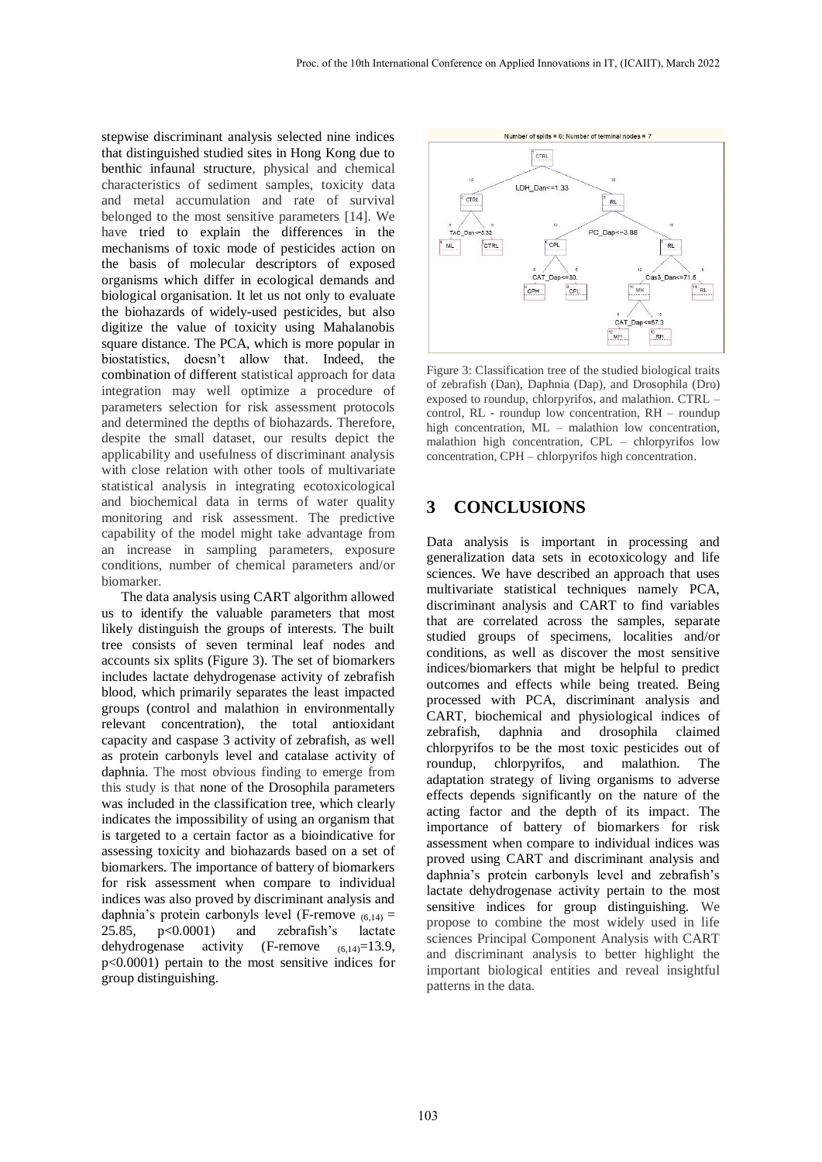stepwise discriminant analysis selected nine indices that distinguished studied sites in Hong Kong due to benthic infaunal structure, physical and chemical characteristics of sediment samples, toxicity data and metal accumulation and rate of survival belonged to the most sensitive parameters [14]. We have tried to explain the differences in the mechanisms of toxic mode of pesticides action on the basis of molecular descriptors of exposed organisms which differ in ecological demands and biological organisation. It let us not only to evaluate the biohazards of widely-used pesticides, but also digitize the value of toxicity using Mahalanobis square distance. The PCA, which is more popular in biostatistics, doesn't allow that. Indeed, the combination of different statistical approach for data integration may well optimize a procedure of parameters selection for risk assessment protocols and determined the depths of biohazards. Therefore, despite the small dataset, our results depict the applicability and usefulness of discriminant analysis with close relation with other tools of multivariate statistical analysis in integrating ecotoxicological and biochemical data in terms of water quality monitoring and risk assessment. The predictive capability of the model might take advantage from an increase in sampling parameters, exposure conditions, number of chemical parameters and/or biomarker.

The data analysis using CART algorithm allowed us to identify the valuable parameters that most likely distinguish the groups of interests. The built tree consists of seven terminal leaf nodes and accounts six splits (Figure 3). The set of biomarkers includes lactate dehydrogenase activity of zebrafish blood, which primarily separates the least impacted groups (control and malathion in environmentally relevant concentration), the total antioxidant capacity and caspase 3 activity of zebrafish, as well as protein carbonyls level and catalase activity of daphnia. The most obvious finding to emerge from this study is that none of the Drosophila parameters was included in the classification tree, which clearly indicates the impossibility of using an organism that is targeted to a certain factor as a bioindicative for assessing toxicity and biohazards based on a set of biomarkers. The importance of battery of biomarkers for risk assessment when compare to individual indices was also proved by discriminant analysis and daphnia's protein carbonyls level (F-remove  $(6,14)$  = 25.85, p<0.0001) and zebrafish's lactate dehydrogenase activity  $(F\text{-remove } (6.14) = 13.9)$ , p<0.0001) pertain to the most sensitive indices for group distinguishing.



Figure 3: Classification tree of the studied biological traits of zebrafish (Dan), Daphnia (Dap), and Drosophila (Dro) exposed to roundup, chlorpyrifos, and malathion. CTRL – control, RL - roundup low concentration, RH – roundup high concentration, ML – malathion low concentration, malathion high concentration, CPL – chlorpyrifos low concentration, CPH – chlorpyrifos high concentration.

### **3 CONCLUSIONS**

Data analysis is important in processing and generalization data sets in ecotoxicology and life sciences. We have described an approach that uses multivariate statistical techniques namely PCA, discriminant analysis and CART to find variables that are correlated across the samples, separate studied groups of specimens, localities and/or conditions, as well as discover the most sensitive indices/biomarkers that might be helpful to predict outcomes and effects while being treated. Being processed with PCA, discriminant analysis and CART, biochemical and physiological indices of zebrafish, daphnia and drosophila claimed chlorpyrifos to be the most toxic pesticides out of roundup, chlorpyrifos, and malathion. The adaptation strategy of living organisms to adverse effects depends significantly on the nature of the acting factor and the depth of its impact. The importance of battery of biomarkers for risk assessment when compare to individual indices was proved using CART and discriminant analysis and daphnia's protein carbonyls level and zebrafish's lactate dehydrogenase activity pertain to the most sensitive indices for group distinguishing. We propose to combine the most widely used in life sciences Principal Component Analysis with CART and discriminant analysis to better highlight the important biological entities and reveal insightful patterns in the data.